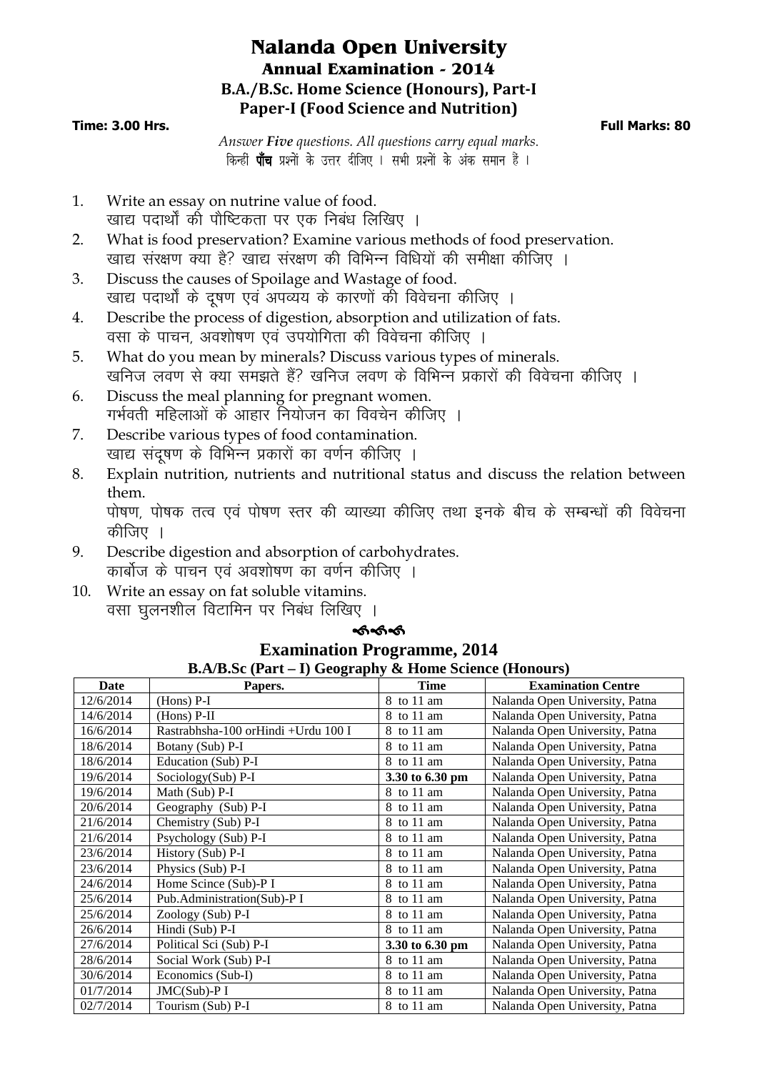## **Nalanda Open University Annual Examination - 2014 B.A./B.Sc. Home Science (Honours), Part-I Paper-I (Food Science and Nutrition)**

#### **Time: 3.00 Hrs. Full Marks: 80**

*Answer Five questions. All questions carry equal marks*. किन्हीं **पाँच** प्रश्नों के उत्तर दीजिए । सभी प्रश्नों के अंक समान हैं ।

- 1. Write an essay on nutrine value of food. खाद्य पदार्थों की पौष्टिकता पर एक निबंध लिखिए ।
- 2. What is food preservation? Examine various methods of food preservation. खाद्य संरक्षण क्या है? खाद्य संरक्षण की विभिन्न विधियों की समीक्षा कीजिए ।
- 3. Discuss the causes of Spoilage and Wastage of food. खाद्य पदार्थों के दूषण एवं अपव्यय के कारणों की विवेचना कीजिए ।
- 4. Describe the process of digestion, absorption and utilization of fats. वसा के पाचन, अवशोषण एवं उपयोगिता की विवेचना कीजिए ।
- 5. What do you mean by minerals? Discuss various types of minerals. .<br>खनिज लवण से क्या समझते हैं? खनिज लवण के विभिन्न प्रकारों की विवेचना कीजिए ।
- 6. Discuss the meal planning for pregnant women. गर्भवती महिलाओं के आहार नियोजन का विवचेन कीजिए ।
- 7. Describe various types of food contamination. खाद्य संदुषण के विभिन्न प्रकारों का वर्णन कीजिए ।
- 8. Explain nutrition, nutrients and nutritional status and discuss the relation between them.

पोषण, पोषक तत्व एवं पोषण स्तर की व्याख्या कीजिए तथा इनके बीच के सम्बन्धों की विवेचना कीजिए ।

- 9. Describe digestion and absorption of carbohydrates. कार्बोज के पाचन एवं अवशोषण का वर्णन कीजिए ।
- 10. Write an essay on fat soluble vitamins. वसा घलनशील विटामिन पर निबंध लिखिए ।

## ക്ക്ക്

| <b>B.A/B.Sc (Part – I) Geography &amp; Home Science (Honours)</b> |                                     |                 |                                |  |  |  |  |
|-------------------------------------------------------------------|-------------------------------------|-----------------|--------------------------------|--|--|--|--|
| Date                                                              | Papers.                             | <b>Time</b>     | <b>Examination Centre</b>      |  |  |  |  |
| 12/6/2014                                                         | $(Hons)$ P-I                        | 8 to 11 am      | Nalanda Open University, Patna |  |  |  |  |
| 14/6/2014                                                         | $(Hons)$ P-II                       | 8 to 11 am      | Nalanda Open University, Patna |  |  |  |  |
| 16/6/2014                                                         | Rastrabhsha-100 orHindi +Urdu 100 I | 8 to 11 am      | Nalanda Open University, Patna |  |  |  |  |
| 18/6/2014                                                         | Botany (Sub) P-I                    | 8 to 11 am      | Nalanda Open University, Patna |  |  |  |  |
| 18/6/2014                                                         | Education (Sub) P-I                 | 8 to 11 am      | Nalanda Open University, Patna |  |  |  |  |
| 19/6/2014                                                         | Sociology(Sub) P-I                  | 3.30 to 6.30 pm | Nalanda Open University, Patna |  |  |  |  |
| 19/6/2014                                                         | Math (Sub) P-I                      | 8 to 11 am      | Nalanda Open University, Patna |  |  |  |  |
| 20/6/2014                                                         | Geography (Sub) P-I                 | 8 to 11 am      | Nalanda Open University, Patna |  |  |  |  |
| 21/6/2014                                                         | Chemistry (Sub) P-I                 | 8 to 11 am      | Nalanda Open University, Patna |  |  |  |  |
| 21/6/2014                                                         | Psychology (Sub) P-I                | 8 to 11 am      | Nalanda Open University, Patna |  |  |  |  |
| 23/6/2014                                                         | History (Sub) P-I                   | 8 to 11 am      | Nalanda Open University, Patna |  |  |  |  |
| 23/6/2014                                                         | Physics (Sub) P-I                   | 8 to 11 am      | Nalanda Open University, Patna |  |  |  |  |
| 24/6/2014                                                         | Home Scince (Sub)-P I               | 8 to 11 am      | Nalanda Open University, Patna |  |  |  |  |
| 25/6/2014                                                         | Pub.Administration(Sub)-P I         | 8 to 11 am      | Nalanda Open University, Patna |  |  |  |  |
| 25/6/2014                                                         | Zoology (Sub) P-I                   | 8 to 11 am      | Nalanda Open University, Patna |  |  |  |  |
| 26/6/2014                                                         | Hindi (Sub) P-I                     | 8 to 11 am      | Nalanda Open University, Patna |  |  |  |  |
| 27/6/2014                                                         | Political Sci (Sub) P-I             | 3.30 to 6.30 pm | Nalanda Open University, Patna |  |  |  |  |
| 28/6/2014                                                         | Social Work (Sub) P-I               | 8 to 11 am      | Nalanda Open University, Patna |  |  |  |  |
| 30/6/2014                                                         | Economics (Sub-I)                   | 8 to 11 am      | Nalanda Open University, Patna |  |  |  |  |
| 01/7/2014                                                         | $JMC(Sub)$ -P I                     | 8 to 11 am      | Nalanda Open University, Patna |  |  |  |  |
| 02/7/2014                                                         | Tourism (Sub) P-I                   | 8 to 11 am      | Nalanda Open University, Patna |  |  |  |  |

# **Examination Programme, 2014**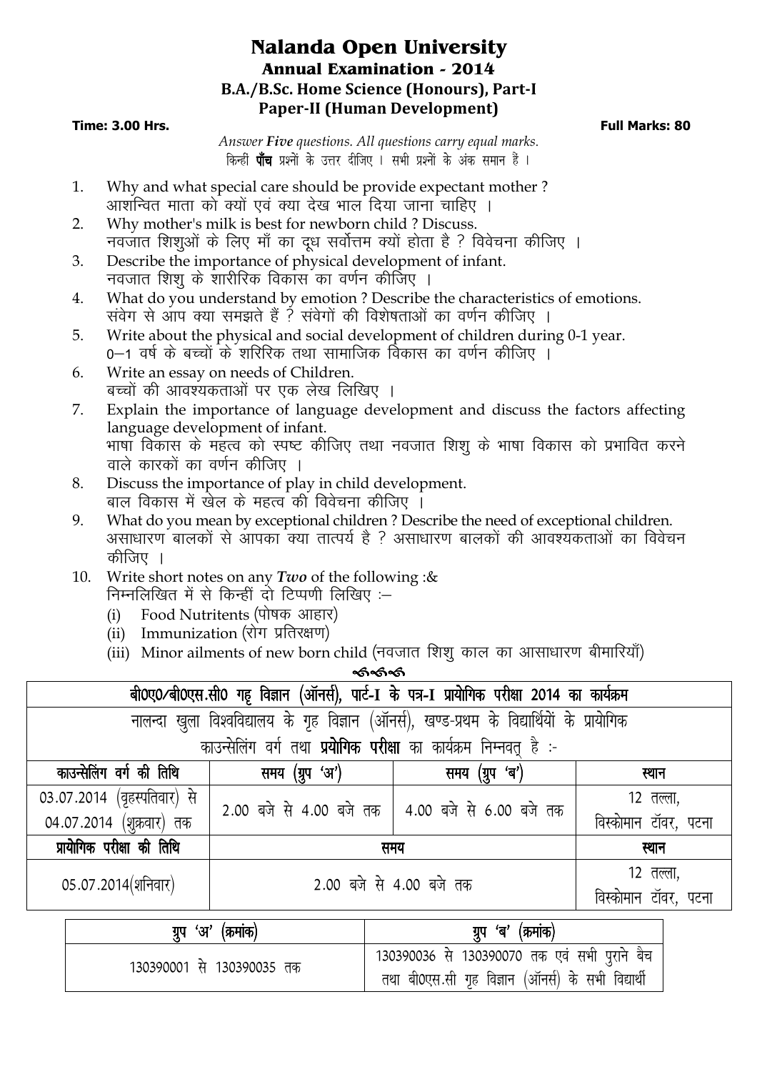## **Nalanda Open University Annual Examination - 2014 B.A./B.Sc. Home Science (Honours), Part-I Paper-II (Human Development)**

## **Time: 3.00 Hrs. Full Marks: 80**

*Answer Five questions. All questions carry equal marks*. किन्हीं **पाँच** प्रश्नों के उत्तर दीजिए । सभी प्रश्नों के अंक समान हैं ।

- 1. Why and what special care should be provide expectant mother ? आशंन्वित माता को क्यों एवं क्या देख भाल दिया जाना चाहिए ।
- 2. Why mother's milk is best for newborn child ? Discuss. नवजात शिशुओं के लिए माँ का दूध सर्वोत्तम क्यों होता है ? विवेचना कीजिए ।
- 3. Describe the importance of physical development of infant. नवजात शिशू के शारीरिक विकास का वर्णन कीजिए ।
- 4. What do you understand by emotion ? Describe the characteristics of emotions. सवेग से आप क्या समझते हैं ? संवेगों की विशेषताओं का वर्णन कीजिए ।
- 5. Write about the physical and social development of children during 0-1 year. 0–1 वर्ष के बच्चों के शरिरिक तथा सामाजिक विकास का वर्णन कीजिए ।
- 6. Write an essay on needs of Children. बच्चों की आवश्यकताओं पर एक लेख लिखिए ।
- 7. Explain the importance of language development and discuss the factors affecting language development of infant. भाषाँ विकास के महत्व को स्पष्ट कीजिए तथा नवजात शिशु के भाषा विकास को प्रभावित करने वाले कारकों का वर्णन कीजिए ।
- 8. Discuss the importance of play in child development. बाल विकास में खेल के महत्व की विवेचना कीजिए ।
- 9. What do you mean by exceptional children ? Describe the need of exceptional children. असाधारण बालकों से आपका क्या तात्पर्य है ? असाधारण बालकों की आवश्यकताओं का विवेचन कीजिए ।
- 10. Write short notes on any *Two* of the following :& निम्नलिखित में से किन्हीं दो टिप्पणी लिखिए :-
	- (i) Food Nutritents (पोषक आहार)
	- (ii) Immunization (रोग प्रतिरक्षण)
	- (iii) Minor ailments of new born child (नवजात) शिशु काल का आसाधारण बीमारियाँ)

ৰ্জৰ্জৰ্জ

| बी0ए0/बी0एस.सी0 गह विज्ञान (ऑनर्स), पार्ट-1 के पत्र-1 प्रायोगिक परीक्षा 2014 का कार्यक्रम   |                                                                   |                                                   |                      |  |  |  |  |
|---------------------------------------------------------------------------------------------|-------------------------------------------------------------------|---------------------------------------------------|----------------------|--|--|--|--|
| नालन्दा खुला विश्वविद्यालय के गृह विज्ञान (ऑनर्स), खण्ड-प्रथम के विद्यार्थियों के प्रायोगिक |                                                                   |                                                   |                      |  |  |  |  |
|                                                                                             | काउन्सेलिंग वर्ग तथा प्रयोगिक परीक्षा का कार्यक्रम निम्नवत् है :- |                                                   |                      |  |  |  |  |
| काउन्सेलिंग वर्ग की तिथि                                                                    | समय (ग्रुप 'अ')                                                   | समय (ग्रुप 'ब')                                   | स्थान                |  |  |  |  |
| 03.07.2014 (वृहस्पतिवार) से                                                                 |                                                                   | 2.00 बजे से 4.00 बजे तक   4.00 बजे से 6.00 बजे तक | 12 तल्ला,            |  |  |  |  |
| 04.07.2014 (शुक्रवार) तक                                                                    |                                                                   |                                                   | विस्कोमान टॉवर, पटना |  |  |  |  |
| प्रायोगिक परीक्षा की तिथि                                                                   | समय                                                               |                                                   | स्थान                |  |  |  |  |
| $05.07.2014$ (शनिवार)                                                                       | 2.00 बजे से 4.00 बजे तक                                           |                                                   | 12 तल्ला,            |  |  |  |  |
|                                                                                             |                                                                   |                                                   | विस्कोमान टॉवर, पटना |  |  |  |  |
| 'अ'<br>ग्रुप                                                                                | (क्रमाक                                                           | 'ब'<br>(क्रमांक<br>ग्रुप                          |                      |  |  |  |  |

| ग्रुप 'अ' (क्रमाक)        | ग्रुप<br>'ब' (क्रमाक)                                                                              |
|---------------------------|----------------------------------------------------------------------------------------------------|
| 130390001 से 130390035 तक | 130390036 से 130390070 तक एवं सभी पुराने बैच<br>तथा बी0एस.सी गृह विज्ञान (ऑनर्स) के सभी विद्यार्थी |
|                           |                                                                                                    |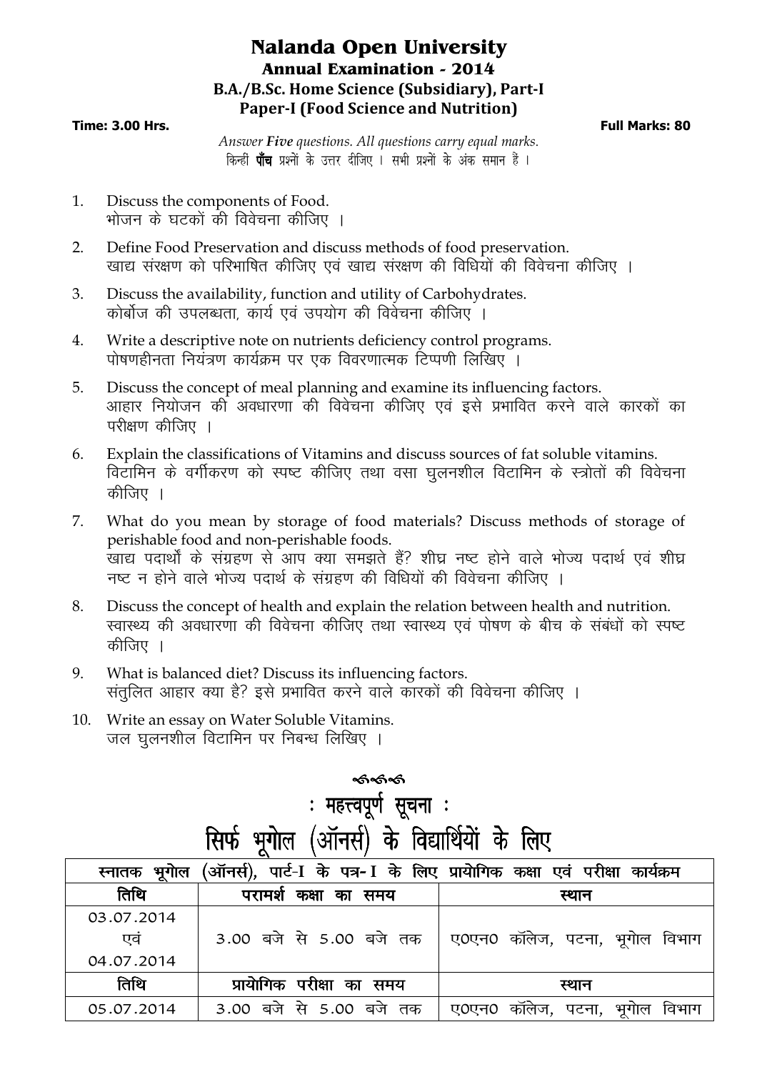## **Nalanda Open University Annual Examination - 2014 B.A./B.Sc. Home Science (Subsidiary), Part-I Paper-I (Food Science and Nutrition)**

#### **Time: 3.00 Hrs. Full Marks: 80**

*Answer Five questions. All questions carry equal marks*. किन्हीं **पाँच** प्रश्नों के उत्तर दीजिए । सभी प्रश्नों के अंक समान हैं ।

- 1. Discuss the components of Food. भोजन के घटकों की विवेचना कीजिए ।
- 2. Define Food Preservation and discuss methods of food preservation. खाद्य संरक्षण को परिभाषित कीजिए एवं खाद्य संरक्षण की विधियों की विवेचना कीजिए ।
- 3. Discuss the availability, function and utility of Carbohydrates. कोर्बोज की उपलब्धता, कार्य एवं उपयोग की विवेचना कीजिए ।
- 4. Write a descriptive note on nutrients deficiency control programs. पोषणहीनता नियंत्रण कार्यक्रम पर एक विवरणात्मक टिप्पणी लिखिए ।
- 5. Discuss the concept of meal planning and examine its influencing factors. आहार नियोजन की अवधारणा की विवेचना कीजिए एवं इसे प्रभावित करने वाले कारकों का परीक्षण कीजिए ।
- 6. Explain the classifications of Vitamins and discuss sources of fat soluble vitamins. विटामिन के वर्गीकरण को स्पष्ट कीजिए तथा वसा घुलनशील विटामिन के स्त्रोतों की विवेचना कीजिए ।
- 7. What do you mean by storage of food materials? Discuss methods of storage of perishable food and non-perishable foods. <sub>-</sub><br>खाद्य पदार्थों के संग्रहण से आप क्या समझते हैं? शीघ्र नष्ट होने वाले भोज्य पदार्थ एवं शीघ्र नष्ट न होने वाले भोज्य पदार्थ के संग्रहण की विधियों की विवेचना कीजिए ।
- 8. Discuss the concept of health and explain the relation between health and nutrition. स्वास्थ्य की अवधारणा की विवेचना कीजिए तथा स्वास्थ्य एवं पोषण के बीच के संबंधों को स्पष्ट कीजिए ।
- 9. What is balanced diet? Discuss its influencing factors. संतुलित आहार क्या है? इसे प्रभावित करने वाले कारकों की विवेचना कीजिए ।
- 10. Write an essay on Water Soluble Vitamins. जल घलनशील विटामिन पर निबन्ध लिखिए ।

|  |                               | ଈଈ |                                             |  |
|--|-------------------------------|----|---------------------------------------------|--|
|  | : महत्त्वपूर्ण सूचना <u>:</u> |    |                                             |  |
|  |                               |    | सिर्फ भूगोल (ऑनर्स) के विद्यार्थियों के लिए |  |

| (ऑनर्स), पार्ट-I के पत्र-I के लिए प्रायोगिक कक्षा एवं परीक्षा कार्यक्रम<br>स्नातक भूगोल |                          |                                     |  |  |  |  |  |  |
|-----------------------------------------------------------------------------------------|--------------------------|-------------------------------------|--|--|--|--|--|--|
| तिथि                                                                                    | परामर्श कक्षा का समय     | स्थान                               |  |  |  |  |  |  |
| 03.07.2014                                                                              |                          |                                     |  |  |  |  |  |  |
| एव                                                                                      | 3.00 बजे से 5.00 बजे तक  | ए0एन0 कॉलेज, पटना, भूगोल विभाग      |  |  |  |  |  |  |
| 04.07.2014                                                                              |                          |                                     |  |  |  |  |  |  |
| तिथि                                                                                    | प्रायोगिक परीक्षा का समय | स्थान                               |  |  |  |  |  |  |
| 05.07.2014                                                                              | 3.00 बजे से 5.00 बजे तक  | ए0एन0 कॉलेज, पटना, '<br>भूगोल विभाग |  |  |  |  |  |  |
|                                                                                         |                          |                                     |  |  |  |  |  |  |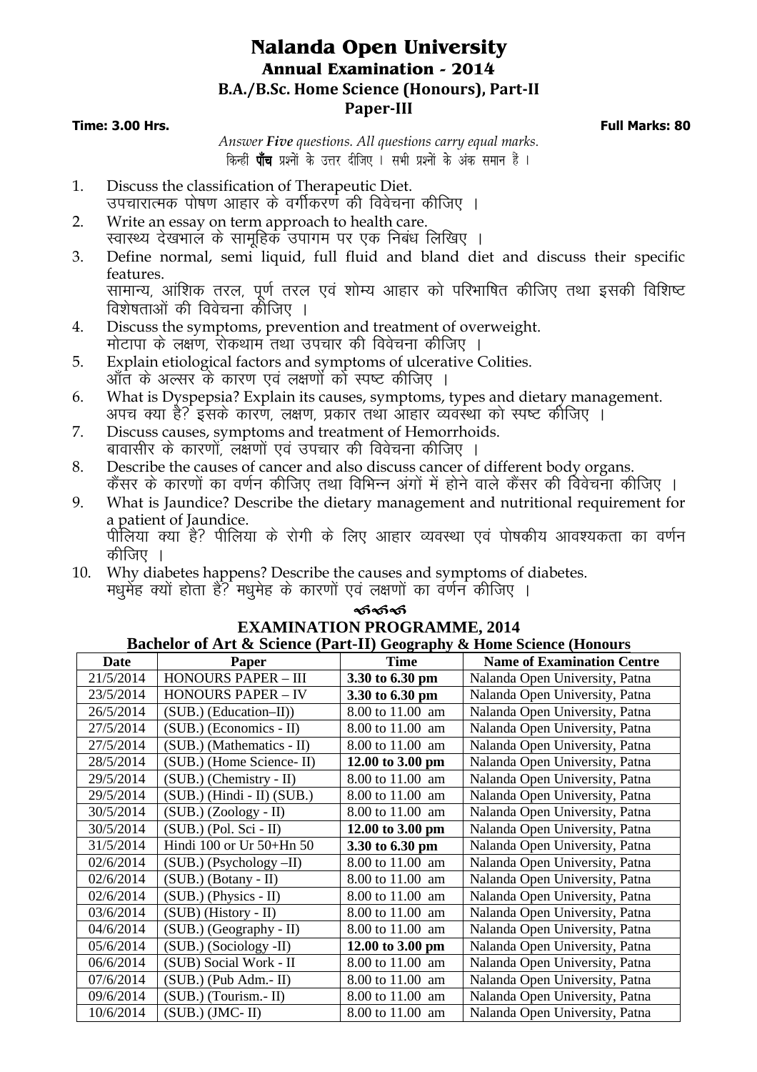## **Nalanda Open University Annual Examination - 2014 B.A./B.Sc. Home Science (Honours), Part-II Paper-III**

#### **Time: 3.00 Hrs. Full Marks: 80**

*Answer Five questions. All questions carry equal marks*. किन्हीं **पाँच** प्रश्नों के उत्तर दीजिए । सभी प्रश्नों के अंक समान हैं ।

- 1. Discuss the classification of Therapeutic Diet. उपचारात्मक पोषण आहार के वर्गीकरण की विवेचना कीजिए ।
- 2. Write an essay on term approach to health care. रवास्थ्य देखभाल के सामहिक उपागम पर एक निबंध लिखिए ।
- 3. Define normal, semi liquid, full fluid and bland diet and discuss their specific features. सामान्य, आंशिक तरल, पूर्ण तरल एवं शोम्य आहार को परिभाषित कीजिए तथा इसकी विशिष्ट विशेषताओं की विवेचना कौजिए ।
- 4. Discuss the symptoms, prevention and treatment of overweight. <u>मोटापा के लक्षण, रोकथाम तथा उपचार की विवेचना कीजिए ।</u>
- 5. Explain etiological factors and symptoms of ulcerative Colities. आँत के अल्सर के कारण एवं लक्षणों को स्पष्ट कीजिए ।
- 6. What is Dyspepsia? Explain its causes, symptoms, types and dietary management. अपच क्या है? इसके कारण, लक्षण, प्रकार तथा आहार व्यवस्था को स्पष्ट कीजिए ।
- 7. Discuss causes, symptoms and treatment of Hemorrhoids. बावासीर के कारणों. लक्षणों एवं उपचार की विवेचना कीजिए ।
- 8. Describe the causes of cancer and also discuss cancer of different body organs. कैंसर के कारणों का वर्णन कीजिए तथा विभिन्न अंगों में होने वाले कैंसर की विवेचना कीजिए ।
- 9. What is Jaundice? Describe the dietary management and nutritional requirement for a patient of Jaundice. ihfy;k D;k gS\ ihfy;k d s jksxh d s fy, vkgkj O;oLFkk ,o a iks"kdh; vko';drk dk o.kZu कीजिए ।
- 10. Why diabetes happens? Describe the causes and symptoms of diabetes. मधुमेंह क्यों होता हैं? मधुमेह के कारणों एवं लक्षणों का वर्णन कीजिए ।

| ക്ക്ക്                                                |
|-------------------------------------------------------|
| <b>EXAMINATION PROGRAMME, 2014</b>                    |
| of Ant & Coiongo (Dont II) Coognaphy & Home Coiongo ( |

| <b>Bachelor of Art &amp; Science (Part-II) Geography &amp; Home Science (Honours</b> |                                |                     |                                   |  |  |  |  |
|--------------------------------------------------------------------------------------|--------------------------------|---------------------|-----------------------------------|--|--|--|--|
| <b>Date</b>                                                                          | Paper                          | <b>Time</b>         | <b>Name of Examination Centre</b> |  |  |  |  |
| 21/5/2014                                                                            | <b>HONOURS PAPER - III</b>     | 3.30 to 6.30 pm     | Nalanda Open University, Patna    |  |  |  |  |
| 23/5/2014                                                                            | <b>HONOURS PAPER - IV</b>      | 3.30 to 6.30 pm     | Nalanda Open University, Patna    |  |  |  |  |
| 26/5/2014                                                                            | (SUB.) (Education-II))         | 8.00 to 11.00 am    | Nalanda Open University, Patna    |  |  |  |  |
| 27/5/2014                                                                            | (SUB.) (Economics - II)        | 8.00 to 11.00 am    | Nalanda Open University, Patna    |  |  |  |  |
| 27/5/2014                                                                            | (SUB.) (Mathematics - II)      | 8.00 to 11.00 am    | Nalanda Open University, Patna    |  |  |  |  |
| 28/5/2014                                                                            | (SUB.) (Home Science-II)       | 12.00 to 3.00 pm    | Nalanda Open University, Patna    |  |  |  |  |
| 29/5/2014                                                                            | (SUB.) (Chemistry - II)        | 8.00 to 11.00 am    | Nalanda Open University, Patna    |  |  |  |  |
| 29/5/2014                                                                            | $(SUB.)$ (Hindi - II) $(SUB.)$ | 8.00 to 11.00 am    | Nalanda Open University, Patna    |  |  |  |  |
| 30/5/2014                                                                            | $(SUB.)$ $(Zoology - II)$      | 8.00 to 11.00 am    | Nalanda Open University, Patna    |  |  |  |  |
| 30/5/2014                                                                            | $(SUB.)$ (Pol. Sci - II)       | 12.00 to 3.00 pm    | Nalanda Open University, Patna    |  |  |  |  |
| 31/5/2014                                                                            | Hindi 100 or Ur 50+Hn 50       | 3.30 to 6.30 pm     | Nalanda Open University, Patna    |  |  |  |  |
| 02/6/2014                                                                            | (SUB.) (Psychology -II)        | 8.00 to 11.00 am    | Nalanda Open University, Patna    |  |  |  |  |
| 02/6/2014                                                                            | $(SUB.)$ (Botany - II)         | 8.00 to 11.00 am    | Nalanda Open University, Patna    |  |  |  |  |
| 02/6/2014                                                                            | (SUB.) (Physics - II)          | 8.00 to 11.00 am    | Nalanda Open University, Patna    |  |  |  |  |
| 03/6/2014                                                                            | (SUB) (History - II)           | 8.00 to 11.00 am    | Nalanda Open University, Patna    |  |  |  |  |
| 04/6/2014                                                                            | (SUB.) (Geography - II)        | 8.00 to 11.00 am    | Nalanda Open University, Patna    |  |  |  |  |
| 05/6/2014                                                                            | (SUB.) (Sociology -II)         | 12.00 to 3.00 pm    | Nalanda Open University, Patna    |  |  |  |  |
| 06/6/2014                                                                            | (SUB) Social Work - II         | 8.00 to 11.00 am    | Nalanda Open University, Patna    |  |  |  |  |
| 07/6/2014                                                                            | $(SUB.)$ (Pub Adm.-II)         | 8.00 to 11.00<br>am | Nalanda Open University, Patna    |  |  |  |  |
| 09/6/2014                                                                            | (SUB.) (Tourism.- II)          | 8.00 to 11.00<br>am | Nalanda Open University, Patna    |  |  |  |  |
| 10/6/2014                                                                            | $(SUB.)$ (JMC-II)              | 8.00 to 11.00 am    | Nalanda Open University, Patna    |  |  |  |  |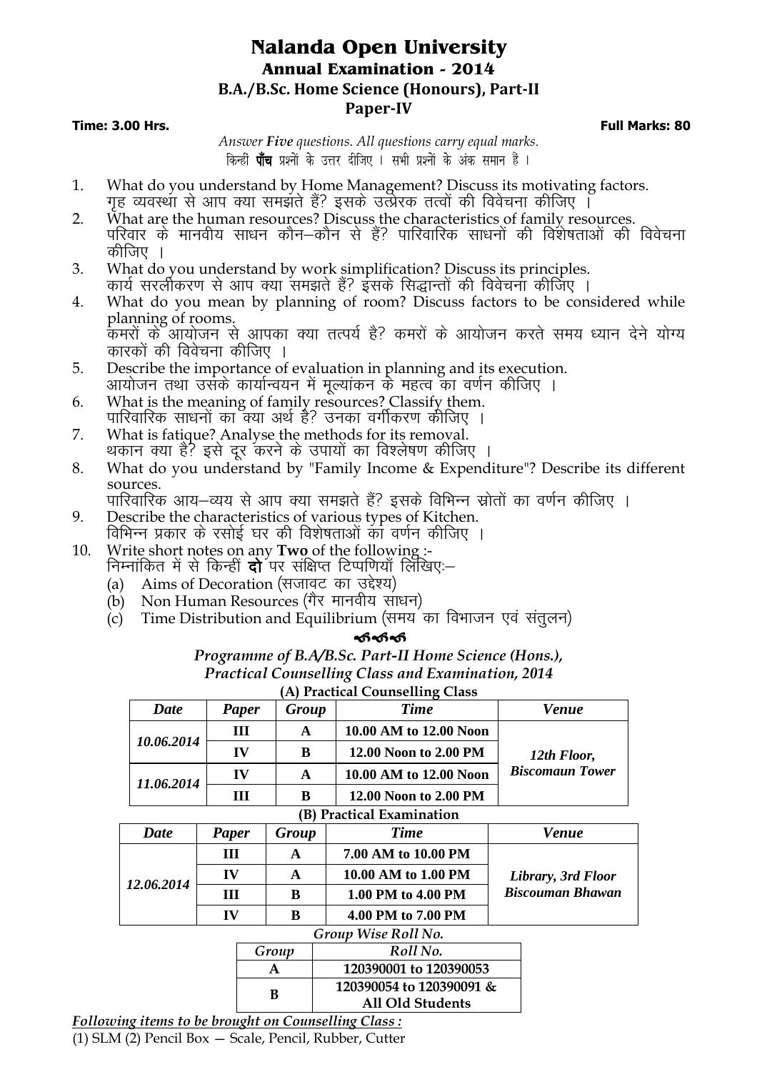## **Nalanda Open University Annual Examination - 2014 B.A./B.Sc. Home Science (Honours), Part-II Paper-IV**

#### **Time: 3.00 Hrs. Full Marks: 80**

*Answer Five questions. All questions carry equal marks*. किन्हीं **पाँच** प्रश्नों के उत्तर दीजिए । सभी प्रश्नों के अंक समान हैं ।

- 1. What do you understand by Home Management? Discuss its motivating factors. गह व्यवस्था से आप क्या समझते हैं? इसके उत्प्रेरक तत्वों की विवेचना कीजिए ।
- 2. What are the human resources? Discuss the characteristics of family resources. परिवार के मानवीय साधन कौन—कौन से हैं? पारिवारिक साधनों की विशेषताओं की विवेचना कीजिए ।
- 3. What do you understand by work simplification? Discuss its principles. कार्य सरलीकरण से आप क्या समझते हैं? इंसके सिद्धान्तों की विवेचना कीजिए ।
- 4. What do you mean by planning of room? Discuss factors to be considered while planning of rooms. कमरों के आयोजन से आपका क्या तत्पर्य है? कमरों के आयोजन करते समय ध्यान देने योग्य कारकों की विवेचना कीजिए ।
- 5. Describe the importance of evaluation in planning and its execution. आयोजन तथा उसके कार्यान्वयन में मूल्यांकन के महत्व का वर्णन कीजिए ।
- 6. What is the meaning of family resources? Classify them. पारिवारिक साधनों का क्या अर्थ है? उनका वर्गीकरण कीजिए ।
- 7. What is fatique? Analyse the methods for its removal. थकान क्या है? इसे दूर करने के उपायों का विश्लेषण कीजिए ।
- 8. What do you understand by "Family Income & Expenditure"? Describe its different sources.

पारिवारिक आय–व्यय से आप क्या समझते हैं? इसके विभिन्न स्रोतों का वर्णन कीजिए ।

- 9. Describe the characteristics of various types of Kitchen. विभिन्न प्रकार के रसोई घर की विशेषताओं का वर्णन कीजिए ।
- 10. Write short notes on any **Two** of the following :- निम्नांकित में से किन्हीं **दो**ँपर संक्षिप्त टिप्पणियाँ लिखिए:—
	- (a) Aims of Decoration (सजावट का उद्देश्य)
	- (b) Non Human Resources (गैर मानवीय साधन)
	- (c) Time Distribution and Equilibrium (समय का विभाजन एवं संतुलन)

## ෯෯෯

*Programme of B.A/B.Sc. Part-II Home Science (Hons.), Practical Counselling Class and Examination, 2014* **(A) Practical Counselling Class**

|                                     |                               |       |       | $(A)$ Tractical Counselling Class |                         |  |
|-------------------------------------|-------------------------------|-------|-------|-----------------------------------|-------------------------|--|
| Date                                |                               | Paper | Group | <b>Time</b>                       | <b>Venue</b>            |  |
|                                     |                               | Ш     |       | 10.00 AM to 12.00 Noon            |                         |  |
| 10.06.2014                          |                               | IV    | B     | 12.00 Noon to 2.00 PM             | 12th Floor,             |  |
| 11.06.2014                          |                               | IV    | A     | 10.00 AM to 12.00 Noon            | <b>Biscomaun Tower</b>  |  |
|                                     |                               | Ш     | B     | 12.00 Noon to 2.00 PM             |                         |  |
| <b>Practical Examination</b><br>(B) |                               |       |       |                                   |                         |  |
| <b>Date</b>                         | Paper                         |       | Group | <b>Time</b>                       | <b>Venue</b>            |  |
|                                     | Ш                             |       | A     | 7.00 AM to 10.00 PM               |                         |  |
| 12.06.2014                          | IV                            |       | A     | 10.00 AM to 1.00 PM               | Library, 3rd Floor      |  |
|                                     | Ш                             |       | B     | 1.00 PM to 4.00 PM                | <b>Biscouman Bhawan</b> |  |
|                                     | IV                            |       | B     | 4.00 PM to 7.00 PM                |                         |  |
| Group Wise Roll No.                 |                               |       |       |                                   |                         |  |
| Roll No.<br>Group                   |                               |       |       |                                   |                         |  |
|                                     |                               |       | A     | 120390001 to 120390053            |                         |  |
|                                     | 120390054 to 120390091 &<br>B |       |       |                                   |                         |  |
|                                     |                               |       |       | All Old Students                  |                         |  |
|                                     |                               |       |       | 11.<br>$\cap$ 1                   |                         |  |

*Following items to be brought on Counselling Class :* (1) SLM (2) Pencil Box — Scale, Pencil, Rubber, Cutter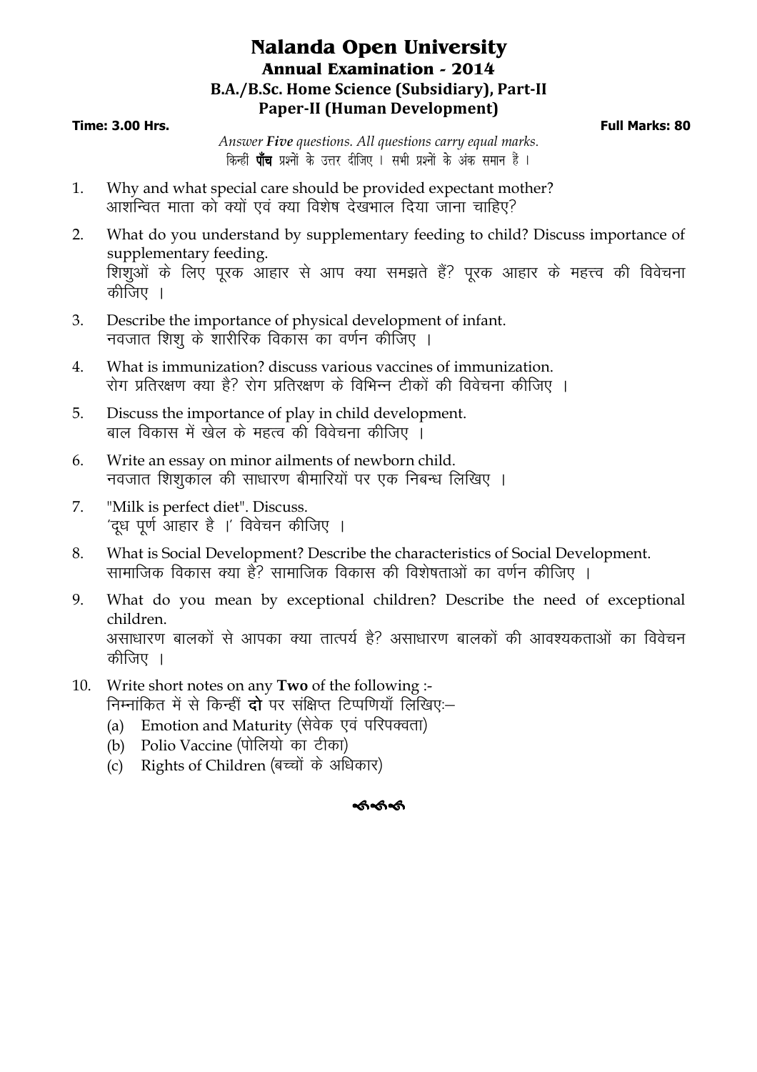## **Nalanda Open University Annual Examination - 2014 B.A./B.Sc. Home Science (Subsidiary), Part-II Paper-II (Human Development)**

## **Time: 3.00 Hrs. Full Marks: 80**

*Answer Five questions. All questions carry equal marks*. किन्हीं **पाँच** प्रश्नों के उत्तर दीजिए । सभी प्रश्नों के अंक समान हैं ।

- 1. Why and what special care should be provided expectant mother? आशन्वित माता को क्यों एवं क्या विशेष देखभाल दिया जाना चाहिए?
- 2. What do you understand by supplementary feeding to child? Discuss importance of supplementary feeding. <u>शिशओं के लिए</u> परक आहार से आप क्या समझते हैं? परक आहार के महत्त्व की विवेचना कीजिए $\parallel$
- 3. Describe the importance of physical development of infant. नवजात शिश के शारीरिक विकास का वर्णन कीजिए ।
- 4. What is immunization? discuss various vaccines of immunization. रोग प्रतिरक्षण क्या है? रोग प्रतिरक्षण के विभिन्न टीकों की विवेचना कीजिए ।
- 5. Discuss the importance of play in child development. बाल विकास में खेल के महत्व की विवेचना कीजिए  $\overline{\phantom{a}}$
- 6. Write an essay on minor ailments of newborn child. नवजात शिशूकाल की साधारण बीमारियों पर एक निबन्ध लिखिए ।
- 7. "Milk is perfect diet". Discuss. 'दूध पूर्ण आहार है ।' विवेचन कीजिए ।
- 8. What is Social Development? Describe the characteristics of Social Development. .<br>सामाजिक विकास क्या है? सामाजिक विकास की विशेषताओं का वर्णन कीजिए ।
- 9. What do you mean by exceptional children? Describe the need of exceptional children. असाधारण बालकों से आपका क्या तात्पर्य है? असाधारण बालकों की आवश्यकताओं का विवेचन कीजिए ।
- 10. Write short notes on any **Two** of the following :- निम्नांकित में से किन्हीं **दो** पर संक्षिप्त टिप्पणियाँ लिखिए:—
	- (a) Emotion and Maturity (सेवेक एवं परिपक्वता)
	- $(b)$  Polio Vaccine (पोलियो का टीका)
	- $(c)$  Rights of Children (बच्चों के अधिकार)

## <u>ക്കക്</u>ക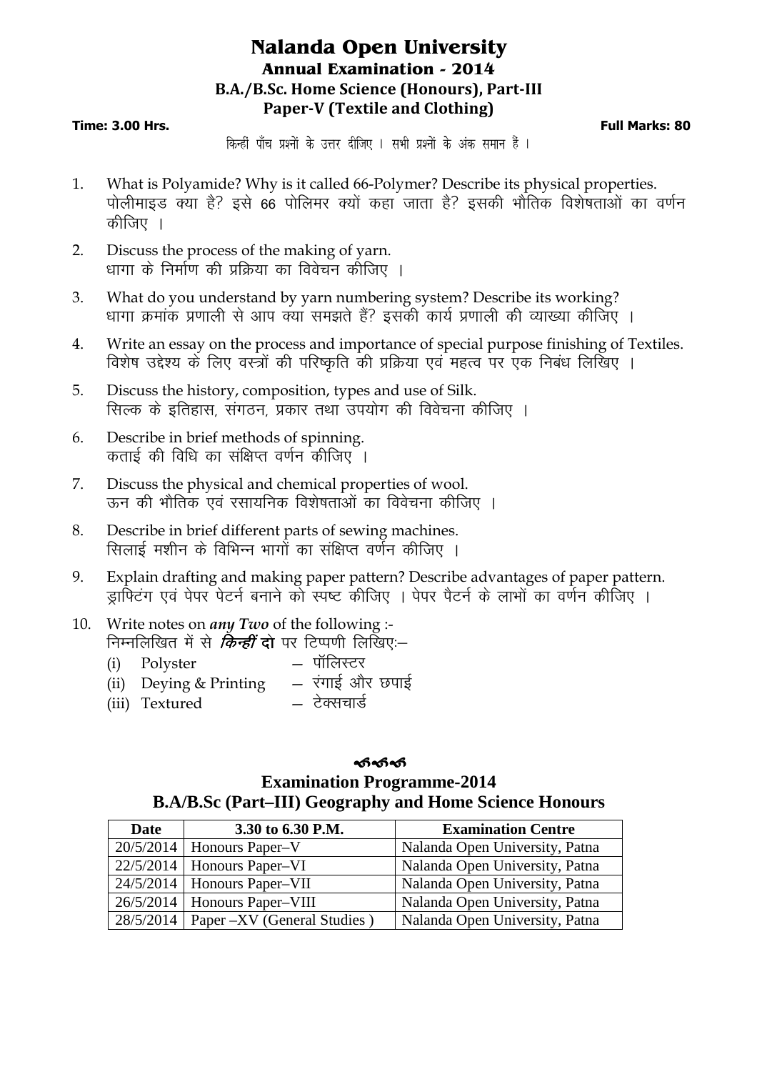## **Nalanda Open University Annual Examination - 2014 B.A./B.Sc. Home Science (Honours), Part-III Paper-V (Textile and Clothing)**

## **Time: 3.00 Hrs. Full Marks: 80**

किन्हीं पाँच प्रश्नों के उत्तर दीजिए । सभी प्रश्नों के अंक समान हैं ।

- 1. What is Polyamide? Why is it called 66-Polymer? Describe its physical properties. पोलीमाइड क्या है? इसे 66 पोलिमर क्यों कहा जाता है? इसकी भौतिक विशेषताओं का वर्णन कीजिए ।
- 2. Discuss the process of the making of yarn. धागा के निर्माण की प्रक्रिया का विवेचन कौजिए ।
- 3. What do you understand by yarn numbering system? Describe its working? धागा क्रमांक प्रणाली से आप क्या समझते हैं? इसकी कार्य प्रणाली की व्याख्या कीजिए ।
- 4. Write an essay on the process and importance of special purpose finishing of Textiles. विशेष उद्देश्य के लिए वस्त्रों की परिष्कृति की प्रक्रिया एवं महत्व पर एक निबंध लिखिए ।
- 5. Discuss the history, composition, types and use of Silk. सिल्क के इतिहास, संगठन, प्रकार तथा उपयोग की विवेचना कीजिए ।
- 6. Describe in brief methods of spinning. कताई की विधि का संक्षिप्त वर्णन कीजिए ।
- 7. Discuss the physical and chemical properties of wool. ऊन की भौतिक एवं रसायनिक विशेषताओं का विवेचना कीजिए ।
- 8. Describe in brief different parts of sewing machines. सिलाई मशीन के विभिन्न भागों का संक्षिप्त वर्णन कीजिए ।
- 9. Explain drafting and making paper pattern? Describe advantages of paper pattern. ज़ाफिटंग एवं पेपर पेटर्न बनाने को स्पष्ट कीजिए । पेपर पैटर्न के लाभों का वर्णन कीजिए ।
- 10. Write notes on *any Two* of the following :- निम्नलिखित में से *किन्हीं* दो पर टिप्पणी लिखिए:--
	- (i) Polyster  $-$  पॉलिस्टर<br>(ii) Deving & Printing  $-$  रंगाई और छपाई (ii) Deying & Printing  $\begin{array}{rcl} - & \text{cm} \xi \text{ and} \\ - & \text{cm} \xi \text{ and} \end{array}$ (iii) Textured

## ക്ക്ക് **Examination Programme-2014 B.A/B.Sc (Part–III) Geography and Home Science Honours**

| Date | 3.30 to 6.30 P.M.                       | <b>Examination Centre</b>      |
|------|-----------------------------------------|--------------------------------|
|      | $20/5/2014$   Honours Paper-V           | Nalanda Open University, Patna |
|      | $22/5/2014$   Honours Paper-VI          | Nalanda Open University, Patna |
|      | $24/5/2014$   Honours Paper-VII         | Nalanda Open University, Patna |
|      | $26/5/2014$   Honours Paper-VIII        | Nalanda Open University, Patna |
|      | 28/5/2014   Paper –XV (General Studies) | Nalanda Open University, Patna |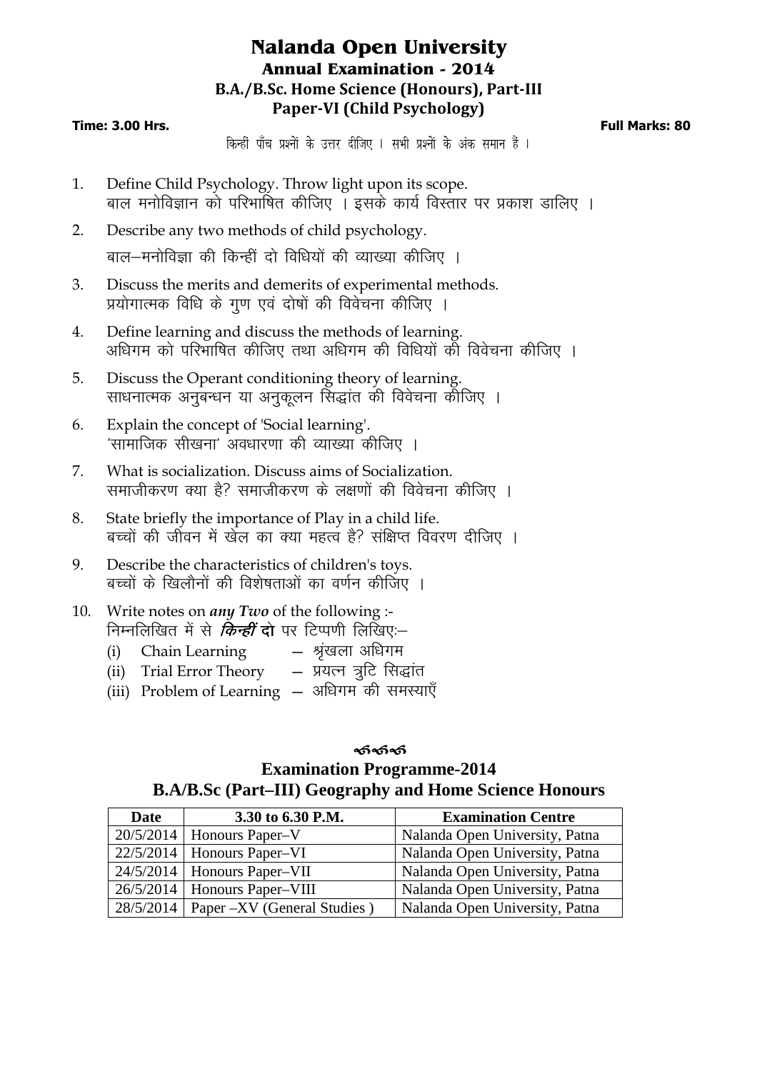## **Nalanda Open University Annual Examination - 2014 B.A./B.Sc. Home Science (Honours), Part-III Paper-VI (Child Psychology)**

## **Time: 3.00 Hrs. Full Marks: 80**

किन्हीं पाँच प्रश्नों के उत्तर दीजिए । सभी प्रश्नों के अंक समान हैं ।

- 1. Define Child Psychology. Throw light upon its scope. बाल मनोविज्ञान को परिभाषित कीजिए । इसके कार्य विस्तार पर प्रकाश डालिए ।
- 2. Describe any two methods of child psychology. बाल—मनोविज्ञा की किन्हीं दो विधियों की व्याख्या कीजिए ।
- 3. Discuss the merits and demerits of experimental methods. ,<br>प्रयोगात्मक विधि के गण एवं दोषों की विवेचना कीजिए ।
- 4. Define learning and discuss the methods of learning. अधिगम को परिभाषित कीजिए तथा अधिगम की विधियों को विवेचना कीजिए ।
- 5. Discuss the Operant conditioning theory of learning. साधनात्मक अनुबन्धन या अनुकुलन सिद्धांत की विवेचना कीजिए ।
- 6. Explain the concept of 'Social learning'.  $^{\prime}$ सामाजिक सीखना $^{\prime}$  अवधारणा की व्याख्या कीजिए ।
- 7. What is socialization. Discuss aims of Socialization. समाजीकरण क्या है? समाजीकरण के लक्षणों की विवेचना कीजिए ।
- 8. State briefly the importance of Play in a child life. बच्चों की जीवन में खेल का क्या महत्व है? संक्षिप्त विवरण दीजिए ।
- 9. Describe the characteristics of children's toys. बच्चों के खिलौनों की विशेषताओं का वर्णन कीजिए ।
- 10. Write notes on *any Two* of the following :- निम्नलिखित में से *किन्हीं दो पर टिप्पणी लिखिए*:–
	- (i) Chain Learning  $-$  श्रृंखला अधिगम
	- (ii) Trial Error Theory  $-$  प्रयत्न त्रूटि सिद्धांत
	- (iii) Problem of Learning अधिगम की समस्याएँ

## ക്ക്ക് **Examination Programme-2014 B.A/B.Sc (Part–III) Geography and Home Science Honours**

| <b>Date</b> | 3.30 to 6.30 P.M.                       | <b>Examination Centre</b>      |
|-------------|-----------------------------------------|--------------------------------|
|             | $20/5/2014$   Honours Paper-V           | Nalanda Open University, Patna |
|             | $22/5/2014$   Honours Paper-VI          | Nalanda Open University, Patna |
|             | $24/5/2014$   Honours Paper-VII         | Nalanda Open University, Patna |
|             | $26/5/2014$   Honours Paper-VIII        | Nalanda Open University, Patna |
|             | 28/5/2014   Paper -XV (General Studies) | Nalanda Open University, Patna |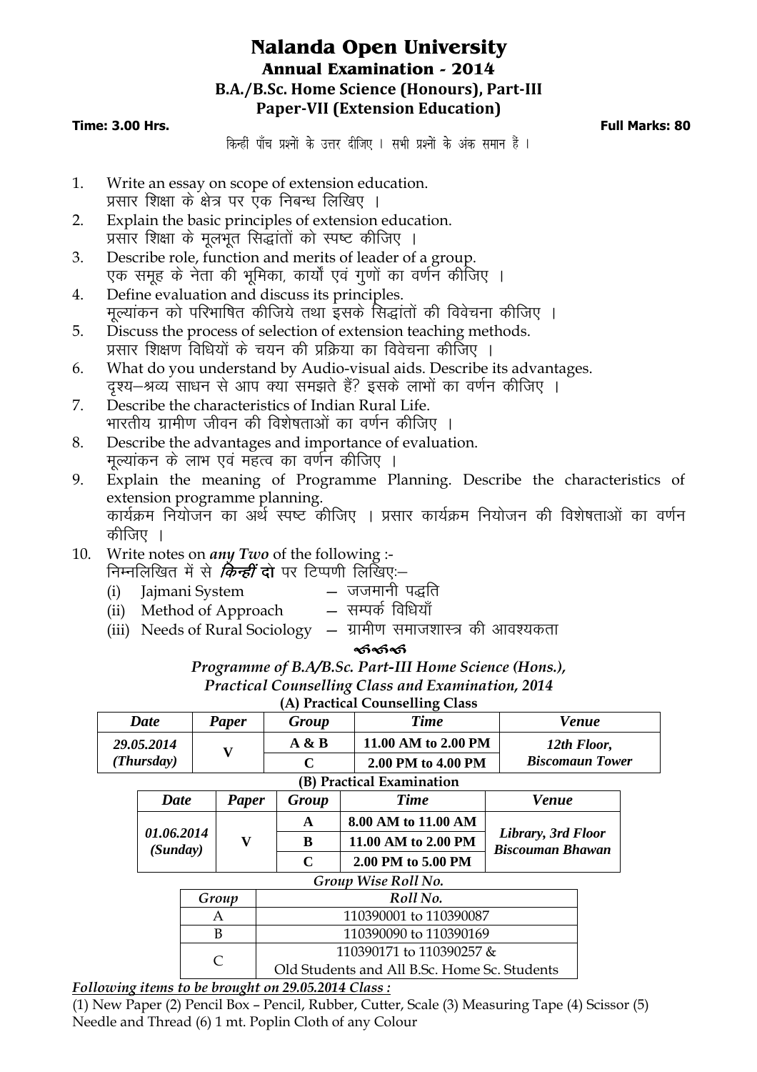## **Nalanda Open University Annual Examination - 2014 B.A./B.Sc. Home Science (Honours), Part-III Paper-VII (Extension Education)**

## **Time: 3.00 Hrs. Full Marks: 80**

किन्हीं पाँच प्रश्नों के उत्तर दीजिए । सभी प्रश्नों के अंक समान हैं ।

- 1. Write an essay on scope of extension education. प्रसार शिक्षा के क्षेत्र पर एक निबन्ध लिखिए ।
- 2. Explain the basic principles of extension education. प्रसार शिक्षा के मूलभूत सिद्धांतों को स्पष्ट कीजिए ।
- 3. Describe role, function and merits of leader of a group. .एक समह के नेता की भमिका, कार्यों एवं गणों का वर्णन कीजिए ।
- 4. Define evaluation and discuss its principles. मूल्यांकन को परिभाषित कीजिये तथा इसके सिद्धांतों की विवेचना कीजिए ।
- 5. Discuss the process of selection of extension teaching methods. प्रसार शिक्षण विधियों के चयन की प्रक्रिया का विवेचना कीजिए ।
- 6. What do you understand by Audio-visual aids. Describe its advantages. 'दृश्य-श्रव्य साधन से आप क्या समझते हैं? इसके लाभों का वर्णन कीजिए ।
- 7. Describe the characteristics of Indian Rural Life. भारतीय ग्रामीण जीवन की विशेषताओं का वर्णन कीजिए ।
- 8. Describe the advantages and importance of evaluation. मुल्यांकन के लाभ एवं महत्व का वर्णन कीजिए ।
- 9. Explain the meaning of Programme Planning. Describe the characteristics of extension programme planning. dk;ZØe fu;kstu dk vFkZ Li"V dhft, A çlkj dk;ZØe fu;kstu dh fo'ks"krkvksa dk o.kZu कीजिए ।
- 10. Write notes on *any Two* of the following :-

निम्नलिखित में से *किन्हीं दो पर टिप्पणी लिखिए*:–

- (i) Jajmani System जजमानी पद्धति<br>(ii) Method of Approach सम्पर्क विधियाँ
- (ii) Method of Approach
- (iii) Needs of Rural Sociology  $-$  ग्रामीण समाजशास्त्र की आवश्यकता

## ക്ക്ക്

## *Programme of B.A/B.Sc. Part-III Home Science (Hons.),*

#### *Practical Counselling Class and Examination, 2014*

| (A) Practical Counselling Class |
|---------------------------------|
|---------------------------------|

| Date       | Paper | Group | <b>Time</b>         | Venue                  |
|------------|-------|-------|---------------------|------------------------|
| 29.05.2014 |       | A & B | 11.00 AM to 2.00 PM | 12th Floor,            |
| (Thursday) |       | ⌒     | 2.00 PM to 4.00 PM  | <b>Biscomaun Tower</b> |

|                        |       |             | (B) Practical Examination            |                                               |
|------------------------|-------|-------------|--------------------------------------|-----------------------------------------------|
| <b>Date</b>            | Paper | Group       | <b>Time</b>                          | <b>Venue</b>                                  |
| 01.06.2014<br>(Sunday) | v     | A           | 8.00 AM to 11.00 AM                  | Library, 3rd Floor<br><b>Biscouman Bhawan</b> |
|                        |       | B           | 11.00 AM to 2.00 PM                  |                                               |
|                        |       | $\mathbf C$ | 2.00 PM to 5.00 PM                   |                                               |
|                        |       |             | $C$ ugua $M_{QQ}$ $D_{Q}$ $11 N_{Q}$ |                                               |

#### *Group Wise Roll No.*

| Group | Roll No.                                     |
|-------|----------------------------------------------|
|       | 110390001 to 110390087                       |
|       | 110390090 to 110390169                       |
|       | 110390171 to 110390257 &                     |
|       | Old Students and All B.Sc. Home Sc. Students |

*Following items to be brought on 29.05.2014 Class :*

(1) New Paper (2) Pencil Box – Pencil, Rubber, Cutter, Scale (3) Measuring Tape (4) Scissor (5) Needle and Thread (6) 1 mt. Poplin Cloth of any Colour